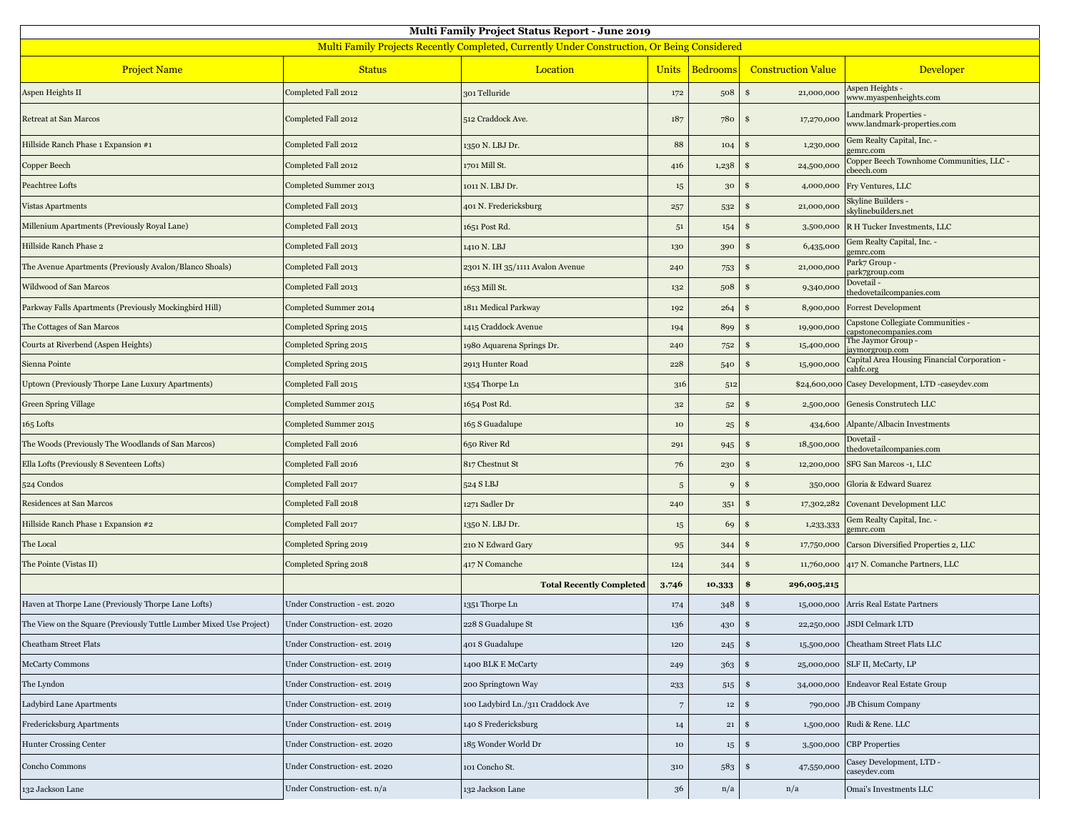| <b>Multi Family Project Status Report - June 2019</b>                                       |                                |                                   |              |                  |                             |                                                            |  |  |  |  |
|---------------------------------------------------------------------------------------------|--------------------------------|-----------------------------------|--------------|------------------|-----------------------------|------------------------------------------------------------|--|--|--|--|
| Multi Family Projects Recently Completed, Currently Under Construction, Or Being Considered |                                |                                   |              |                  |                             |                                                            |  |  |  |  |
| <b>Project Name</b>                                                                         | <b>Status</b>                  | Location                          | <b>Units</b> | <b>Bedrooms</b>  | <b>Construction Value</b>   | Developer                                                  |  |  |  |  |
| Aspen Heights II                                                                            | Completed Fall 2012            | 301 Telluride                     | 172          | 508              | 21,000,000<br>\$            | Aspen Heights -<br>www.myaspenheights.com                  |  |  |  |  |
| Retreat at San Marcos                                                                       | Completed Fall 2012            | 512 Craddock Ave.                 | 187          | 780              | 17,270,000<br>\$            | Landmark Properties -<br>www.landmark-properties.com       |  |  |  |  |
| Hillside Ranch Phase 1 Expansion #1                                                         | Completed Fall 2012            | 1350 N. LBJ Dr.                   | 88           | 104              | 1,230,000<br>-S             | Gem Realty Capital, Inc. -<br>gemrc.com                    |  |  |  |  |
| Copper Beech                                                                                | Completed Fall 2012            | 1701 Mill St.                     | 416          | 1,238            | 24,500,000<br>\$            | Copper Beech Townhome Communities, LLC -<br>cbeech.com     |  |  |  |  |
| Peachtree Lofts                                                                             | Completed Summer 2013          | 1011 N. LBJ Dr.                   | $15\,$       | 30               | 4,000,000<br>\$             | Fry Ventures, LLC                                          |  |  |  |  |
| <b>Vistas Apartments</b>                                                                    | Completed Fall 2013            | 401 N. Fredericksburg             | 257          | 532              | 21,000,000<br>\$            | Skyline Builders -<br>skylinebuilders.net                  |  |  |  |  |
| Millenium Apartments (Previously Royal Lane)                                                | Completed Fall 2013            | 1651 Post Rd.                     | $5^1$        | 154              | S<br>3,500,000              | R H Tucker Investments, LLC                                |  |  |  |  |
| Hillside Ranch Phase 2                                                                      | Completed Fall 2013            | 1410 N. LBJ                       | 130          | 390              | 6,435,000<br>\$             | Gem Realty Capital, Inc. -<br>gemrc.com                    |  |  |  |  |
| The Avenue Apartments (Previously Avalon/Blanco Shoals)                                     | Completed Fall 2013            | 2301 N. IH 35/1111 Avalon Avenue  | 240          | 753              | 21,000,000<br>S             | Park7 Group -<br>park7group.com                            |  |  |  |  |
| Wildwood of San Marcos                                                                      | Completed Fall 2013            | 1653 Mill St.                     | 132          | 508              | 9,340,000<br><b>S</b>       | Dovetail -<br>thedovetailcompanies.com                     |  |  |  |  |
| Parkway Falls Apartments (Previously Mockingbird Hill)                                      | Completed Summer 2014          | 1811 Medical Parkway              | 192          | 264              | 8,900,000<br>\$             | <b>Forrest Development</b>                                 |  |  |  |  |
| The Cottages of San Marcos                                                                  | Completed Spring 2015          | 1415 Craddock Avenue              | 194          | 899              | 19,900,000<br>S             | Capstone Collegiate Communities -<br>capstonecompanies.com |  |  |  |  |
| Courts at Riverbend (Aspen Heights)                                                         | Completed Spring 2015          | 1980 Aquarena Springs Dr.         | 240          | 752              | 15,400,000<br>\$            | The Jaymor Group -<br>aymorgroup.com                       |  |  |  |  |
| Sienna Pointe                                                                               | Completed Spring 2015          | 2913 Hunter Road                  | 228          | 540              | 15,900,000<br>S             | Capital Area Housing Financial Corporation -<br>cahfc.org  |  |  |  |  |
| Uptown (Previously Thorpe Lane Luxury Apartments)                                           | Completed Fall 2015            | 1354 Thorpe Ln                    | 316          | 512              | \$24,600,000                | Casey Development, LTD -caseydev.com                       |  |  |  |  |
| Green Spring Village                                                                        | Completed Summer 2015          | 1654 Post Rd.                     | $3^{\rm 2}$  | $5^{\rm 2}$      | \$<br>2,500,000             | Genesis Construtech LLC                                    |  |  |  |  |
| 165 Lofts                                                                                   | Completed Summer 2015          | 165 S Guadalupe                   | $10\,$       | 25               | 434,600<br>\$               | Alpante/Albacin Investments                                |  |  |  |  |
| The Woods (Previously The Woodlands of San Marcos)                                          | Completed Fall 2016            | 650 River Rd                      | 291          | 945              | 18,500,000<br>S             | Dovetail-<br>thedovetailcompanies.com                      |  |  |  |  |
| Ella Lofts (Previously 8 Seventeen Lofts)                                                   | Completed Fall 2016            | 817 Chestnut St                   | 76           | 230              | 12,200,000<br>S             | SFG San Marcos -1, LLC                                     |  |  |  |  |
| 524 Condos                                                                                  | Completed Fall 2017            | 524 S LBJ                         | $\,$ 5 $\,$  | $\mathbf{Q}$     | -S<br>350,000               | Gloria & Edward Suarez                                     |  |  |  |  |
| Residences at San Marcos                                                                    | Completed Fall 2018            | 1271 Sadler Dr                    | 240          | 351              | 17,302,282<br>\$            | <b>Covenant Development LLC</b>                            |  |  |  |  |
| Hillside Ranch Phase 1 Expansion #2                                                         | Completed Fall 2017            | 1350 N. LBJ Dr.                   | $15\,$       | 69               | 1,233,333<br>\$             | Gem Realty Capital, Inc. -<br>gemrc.com                    |  |  |  |  |
| The Local                                                                                   | Completed Spring 2019          | 210 N Edward Gary                 | 95           | 344              | \$<br>17,750,000            | Carson Diversified Properties 2, LLC                       |  |  |  |  |
| The Pointe (Vistas II)                                                                      | Completed Spring 2018          | 417 N Comanche                    | 124          | 344              | 11,760,000<br>\$            | 417 N. Comanche Partners, LLC                              |  |  |  |  |
|                                                                                             |                                | <b>Total Recently Completed</b>   | 3,746        | 10,333           | \$<br>296,005,215           |                                                            |  |  |  |  |
| Haven at Thorpe Lane (Previously Thorpe Lane Lofts)                                         | Under Construction - est. 2020 | 1351 Thorpe Ln                    | 174          | 348              | Ŝ.<br>15,000,000            | Arris Real Estate Partners                                 |  |  |  |  |
| The View on the Square (Previously Tuttle Lumber Mixed Use Project)                         | Under Construction- est. 2020  | 228 S Guadalupe St                | 136          | 430              | \$                          | 22,250,000 JSDI Celmark LTD                                |  |  |  |  |
| <b>Cheatham Street Flats</b>                                                                | Under Construction- est. 2019  | 401 S Guadalupe                   | 120          | 245              | \$<br>15,500,000            | Cheatham Street Flats LLC                                  |  |  |  |  |
| <b>McCarty Commons</b>                                                                      | Under Construction- est. 2019  | 1400 BLK E McCarty                | 249          | 363              | $\mathbf{\$}$<br>25,000,000 | SLF II, McCarty, LP                                        |  |  |  |  |
| The Lyndon                                                                                  | Under Construction- est. 2019  | 200 Springtown Way                | 233          | 515              | \$<br>34,000,000            | Endeavor Real Estate Group                                 |  |  |  |  |
| Ladybird Lane Apartments                                                                    | Under Construction- est. 2019  | 100 Ladybird Ln./311 Craddock Ave | $\sqrt{7}$   | $12\phantom{.0}$ | \$<br>790,000               | <b>JB Chisum Company</b>                                   |  |  |  |  |
| Fredericksburg Apartments                                                                   | Under Construction- est. 2019  | 140 S Fredericksburg              | 14           | $\bf{21}$        | \$<br>1,500,000             | Rudi & Rene. LLC                                           |  |  |  |  |
| <b>Hunter Crossing Center</b>                                                               | Under Construction- est. 2020  | 185 Wonder World Dr               | $10\,$       | $15\,$           | \$<br>3,500,000             | <b>CBP</b> Properties                                      |  |  |  |  |
| Concho Commons                                                                              | Under Construction- est. 2020  | 101 Concho St.                    | 310          | 583              | \$<br>47,550,000            | Casey Development, LTD -<br>caseydev.com                   |  |  |  |  |
| 132 Jackson Lane                                                                            | Under Construction- est. n/a   | 132 Jackson Lane                  | $36\,$       | n/a              | n/a                         | Omai's Investments LLC                                     |  |  |  |  |